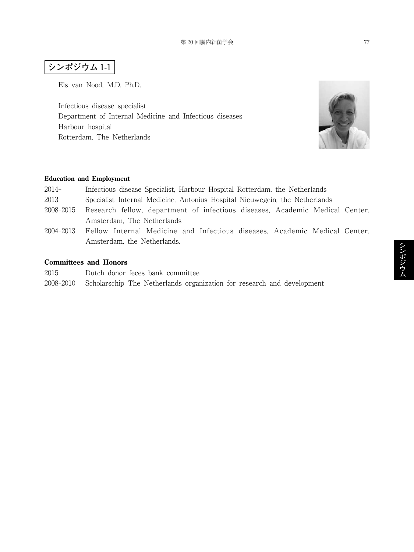## **シンポジウム** 1**-**1

Els van Nood, M.D. Ph.D.

Infectious disease specialist Department of Internal Medicine and Infectious diseases Harbour hospital Rotterdam, The Netherlands



## **Education and Employment**

| 2014- |  |  |  | Infectious disease Specialist, Harbour Hospital Rotterdam, the Netherlands       |  |
|-------|--|--|--|----------------------------------------------------------------------------------|--|
| റവറ   |  |  |  | Constitute Laten of Madisine - Automine Heavillet Missource and - the Mathemater |  |

- 2013 Specialist Internal Medicine, Antonius Hospital Nieuwegein, the Netherlands
- 2008-2015 Research fellow, department of infectious diseases, Academic Medical Center, Amsterdam, The Netherlands
- 2004-2013 Fellow Internal Medicine and Infectious diseases, Academic Medical Center, Amsterdam, the Netherlands.

## **Committees and Honors**

- 2015 Dutch donor feces bank committee
- 2008-2010 Scholarschip The Netherlands organization for research and development